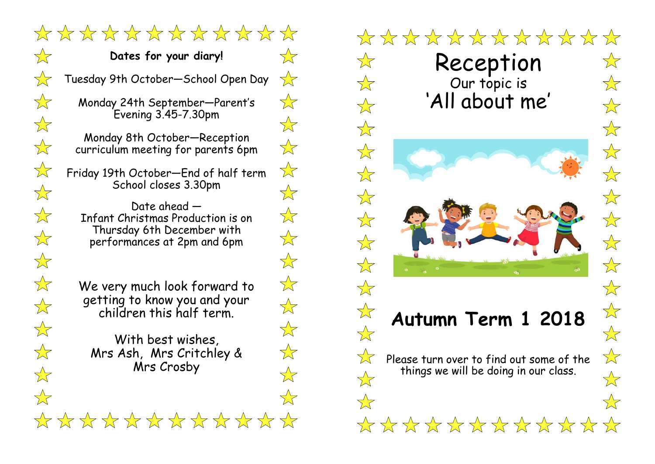\*\*\*\*\*\*\*\*\*\*\*\* **Dates for your diary!** .  $\frac{1}{2}$ Tuesday 9th October—School Open Day  $\overline{\text{K}}$  $\frac{1}{\sqrt{2}}$ Monday 24th September—Parent's Evening 3.45-7.30pm  $\overleftrightarrow{\lambda}$ Monday 8th October—Reception  $\frac{1}{2}$ curriculum meeting for parents 6pm  $\frac{1}{\sqrt{2}}$ Friday 19th October—End of half term School closes 3.30pm  $\overrightarrow{\Sigma}$ Date ahead —  $\frac{1}{\sqrt{2}}$ Infant Christmas Production is on Thursday 6th December with  $\frac{1}{\sqrt{2}}$ performances at 2pm and 6pm  $\frac{1}{\sqrt{2}}$  $\frac{1}{\sqrt{2}}$ We very much look forward to getting to know you and your  $\frac{1}{\sqrt{2}}$ children this half term.  $\frac{1}{\sqrt{2}}$ With best wishes, Mrs Ash, Mrs Critchley &  $\sqrt{\phantom{a}}$ Mrs Crosby \*\*\*\*\*\*\*\*\*\*\*\*